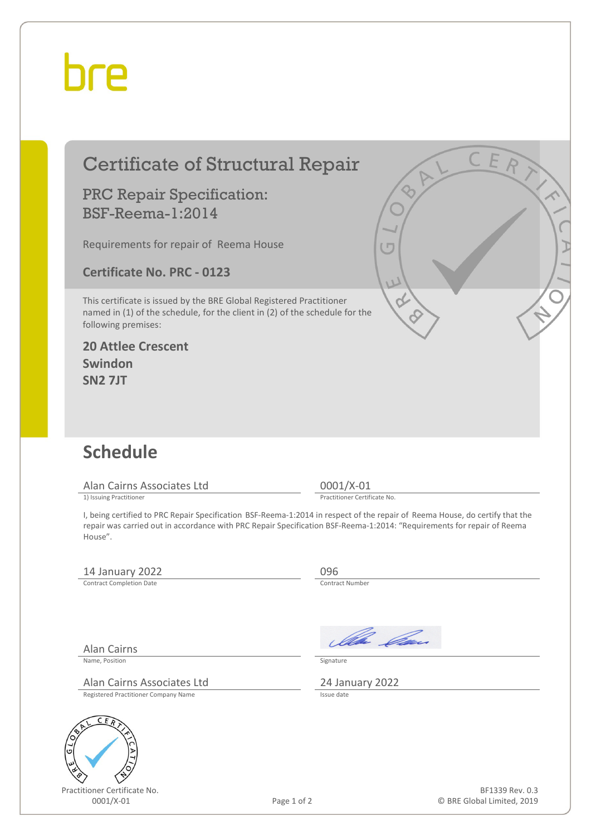## bre

|   | <b>Certificate of Structural Repair</b>                                                                                                                                                                                                                           | C E R                                         |  |  |
|---|-------------------------------------------------------------------------------------------------------------------------------------------------------------------------------------------------------------------------------------------------------------------|-----------------------------------------------|--|--|
|   | <b>PRC Repair Specification:</b><br><b>BSF-Reema-1:2014</b>                                                                                                                                                                                                       |                                               |  |  |
|   | Requirements for repair of Reema House                                                                                                                                                                                                                            | $(\Box$                                       |  |  |
|   | <b>Certificate No. PRC - 0123</b>                                                                                                                                                                                                                                 | W                                             |  |  |
|   | This certificate is issued by the BRE Global Registered Practitioner<br>named in (1) of the schedule, for the client in (2) of the schedule for the<br>following premises:                                                                                        |                                               |  |  |
|   | <b>20 Attlee Crescent</b>                                                                                                                                                                                                                                         |                                               |  |  |
|   | Swindon<br><b>SN2 7JT</b>                                                                                                                                                                                                                                         |                                               |  |  |
|   |                                                                                                                                                                                                                                                                   |                                               |  |  |
|   |                                                                                                                                                                                                                                                                   |                                               |  |  |
|   | <b>Schedule</b>                                                                                                                                                                                                                                                   |                                               |  |  |
|   | Alan Cairns Associates Ltd                                                                                                                                                                                                                                        | $0001/X-01$                                   |  |  |
|   | 1) Issuing Practitioner                                                                                                                                                                                                                                           | Practitioner Certificate No.                  |  |  |
|   | I, being certified to PRC Repair Specification BSF-Reema-1:2014 in respect of the repair of Reema House, do certify that the<br>repair was carried out in accordance with PRC Repair Specification BSF-Reema-1:2014: "Requirements for repair of Reema<br>House". |                                               |  |  |
|   | 14 January 2022                                                                                                                                                                                                                                                   | 096                                           |  |  |
|   | <b>Contract Completion Date</b>                                                                                                                                                                                                                                   | Contract Number                               |  |  |
|   |                                                                                                                                                                                                                                                                   |                                               |  |  |
|   | <b>Alan Cairns</b>                                                                                                                                                                                                                                                | Ila Can                                       |  |  |
|   | Name, Position                                                                                                                                                                                                                                                    | Signature                                     |  |  |
|   | Alan Cairns Associates Ltd                                                                                                                                                                                                                                        | 24 January 2022<br>Issue date                 |  |  |
|   | Registered Practitioner Company Name                                                                                                                                                                                                                              |                                               |  |  |
|   | ER                                                                                                                                                                                                                                                                |                                               |  |  |
| G |                                                                                                                                                                                                                                                                   |                                               |  |  |
|   |                                                                                                                                                                                                                                                                   |                                               |  |  |
|   | Practitioner Certificate No.<br>0001/X-01<br>Page 1 of 2                                                                                                                                                                                                          | BF1339 Rev. 0.3<br>© BRE Global Limited, 2019 |  |  |